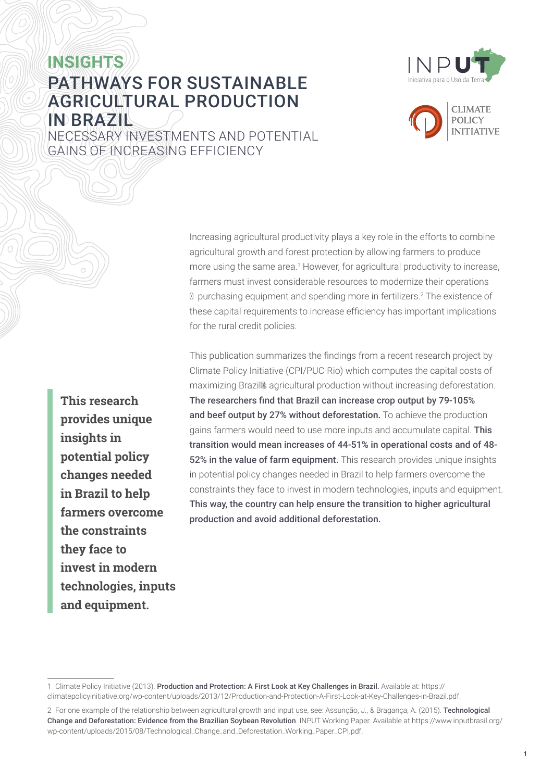## **INSIGHTS** PATHWAYS FOR SUSTAINABLE AGRICULTURAL PRODUCTION IN BRAZIL





NECESSARY INVESTMENTS AND POTENTIAL GAINS OF INCREASING EFFICIENCY

> Increasing agricultural productivity plays a key role in the efforts to combine agricultural growth and forest protection by allowing farmers to produce more using the same area.<sup>1</sup> However, for agricultural productivity to increase, farmers must invest considerable resources to modernize their operations – purchasing equipment and spending more in fertilizers.2 The existence of these capital requirements to increase efficiency has important implications for the rural credit policies.

This publication summarizes the findings from a recent research project by Climate Policy Initiative (CPI/PUC-Rio) which computes the capital costs of maximizing Brazil's agricultural production without increasing deforestation. The researchers find that Brazil can increase crop output by 79-105% and beef output by 27% without deforestation. To achieve the production gains farmers would need to use more inputs and accumulate capital. This transition would mean increases of 44-51% in operational costs and of 48- 52% in the value of farm equipment. This research provides unique insights in potential policy changes needed in Brazil to help farmers overcome the constraints they face to invest in modern technologies, inputs and equipment. This way, the country can help ensure the transition to higher agricultural production and avoid additional deforestation.

**This research provides unique insights in potential policy changes needed in Brazil to help farmers overcome the constraints they face to invest in modern technologies, inputs and equipment.**

<sup>1</sup> Climate Policy Initiative (2013). Production and Protection: A First Look at Key Challenges in Brazil. Available at: [https://](https://climatepolicyinitiative.org/wp-content/uploads/2013/12/Production-and-Protection-A-First-Look-at-Key-Challenges-in-Brazil.pdf) [climatepolicyinitiative.org/wp-content/uploads/2013/12/Production-and-Protection-A-First-Look-at-Key-Challenges-in-Brazil.pdf](https://climatepolicyinitiative.org/wp-content/uploads/2013/12/Production-and-Protection-A-First-Look-at-Key-Challenges-in-Brazil.pdf).

<sup>2</sup> For one example of the relationship between agricultural growth and input use, see: Assunção, J., & Bragança, A. (2015). Technological Change and Deforestation: Evidence from the Brazilian Soybean Revolution. INPUT Working Paper. Available at [https://www.inputbrasil.org/](https://www.inputbrasil.org/wp-content/uploads/2015/08/Technological_Change_and_Deforestation_Working_Paper_CPI.pdf) [wp-content/uploads/2015/08/Technological\\_Change\\_and\\_Deforestation\\_Working\\_Paper\\_CPI.pdf](https://www.inputbrasil.org/wp-content/uploads/2015/08/Technological_Change_and_Deforestation_Working_Paper_CPI.pdf).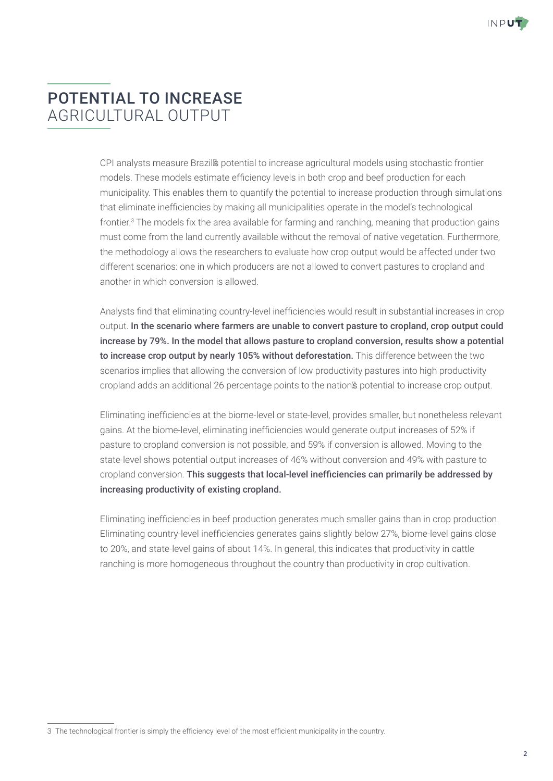

# POTENTIAL TO INCREASE AGRICULTURAL OUTPUT

CPI analysts measure Brazil's potential to increase agricultural models using stochastic frontier models. These models estimate efficiency levels in both crop and beef production for each municipality. This enables them to quantify the potential to increase production through simulations that eliminate inefficiencies by making all municipalities operate in the model's technological frontier.<sup>3</sup> The models fix the area available for farming and ranching, meaning that production gains must come from the land currently available without the removal of native vegetation. Furthermore, the methodology allows the researchers to evaluate how crop output would be affected under two different scenarios: one in which producers are not allowed to convert pastures to cropland and another in which conversion is allowed.

Analysts find that eliminating country-level inefficiencies would result in substantial increases in crop output. In the scenario where farmers are unable to convert pasture to cropland, crop output could increase by 79%. In the model that allows pasture to cropland conversion, results show a potential to increase crop output by nearly 105% without deforestation. This difference between the two scenarios implies that allowing the conversion of low productivity pastures into high productivity cropland adds an additional 26 percentage points to the nation's potential to increase crop output.

Eliminating inefficiencies at the biome-level or state-level, provides smaller, but nonetheless relevant gains. At the biome-level, eliminating inefficiencies would generate output increases of 52% if pasture to cropland conversion is not possible, and 59% if conversion is allowed. Moving to the state-level shows potential output increases of 46% without conversion and 49% with pasture to cropland conversion. This suggests that local-level inefficiencies can primarily be addressed by increasing productivity of existing cropland.

Eliminating inefficiencies in beef production generates much smaller gains than in crop production. Eliminating country-level inefficiencies generates gains slightly below 27%, biome-level gains close to 20%, and state-level gains of about 14%. In general, this indicates that productivity in cattle ranching is more homogeneous throughout the country than productivity in crop cultivation.

<sup>3</sup> The technological frontier is simply the efficiency level of the most efficient municipality in the country.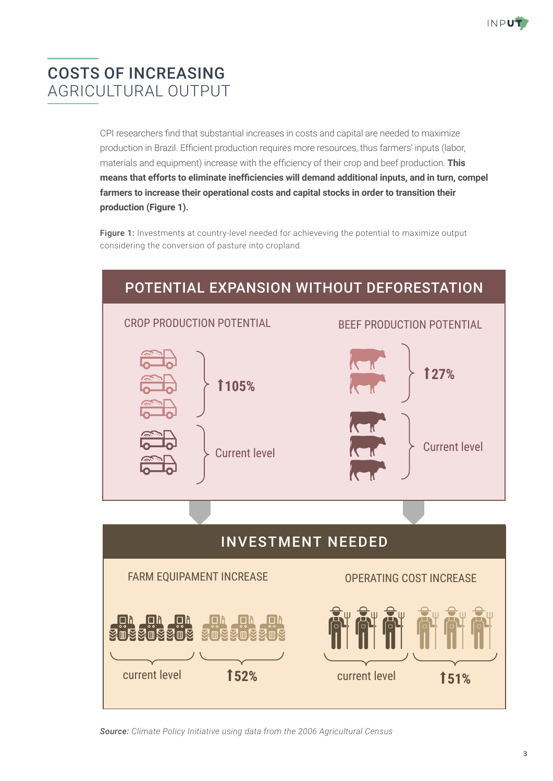

# COSTS OF INCREASING AGRICULTURAL OUTPUT

CPI researchers find that substantial increases in costs and capital are needed to maximize production in Brazil. Efficient production requires more resources, thus farmers' inputs (labor, materials and equipment) increase with the efficiency of their crop and beef production. **This means that efforts to eliminate inefficiencies will demand additional inputs, and in turn, compel farmers to increase their operational costs and capital stocks in order to transition their production (Figure 1).**

Figure 1: Investments at country-level needed for achieveving the potential to maximize output considering the conversion of pasture into cropland.



*Source: Climate Policy Initiative using data from the 2006 Agricultural Census*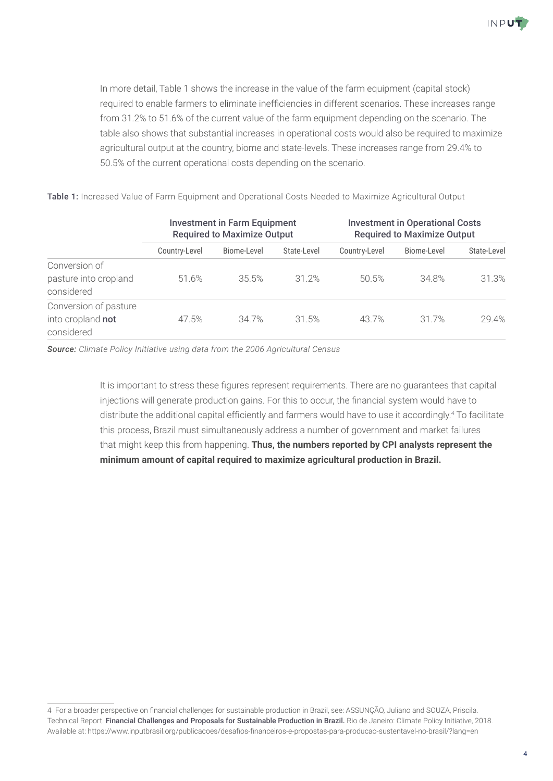

In more detail, Table 1 shows the increase in the value of the farm equipment (capital stock) required to enable farmers to eliminate inefficiencies in different scenarios. These increases range from 31.2% to 51.6% of the current value of the farm equipment depending on the scenario. The table also shows that substantial increases in operational costs would also be required to maximize agricultural output at the country, biome and state-levels. These increases range from 29.4% to 50.5% of the current operational costs depending on the scenario.

|                                     | <b>Investment in Farm Equipment</b><br><b>Required to Maximize Output</b> |             |             | <b>Investment in Operational Costs</b><br><b>Required to Maximize Output</b> |             |             |
|-------------------------------------|---------------------------------------------------------------------------|-------------|-------------|------------------------------------------------------------------------------|-------------|-------------|
|                                     | Country-Level                                                             | Biome-Level | State-Level | Country-Level                                                                | Biome-Level | State-Level |
| Conversion of                       |                                                                           |             |             |                                                                              |             |             |
| pasture into cropland<br>considered | 51.6%                                                                     | 35.5%       | 31.2%       | 50.5%                                                                        | 34.8%       | 31.3%       |
| Conversion of pasture               |                                                                           |             |             |                                                                              |             |             |
| into cropland not<br>considered     | 47.5%                                                                     | 34.7%       | 31.5%       | 43.7%                                                                        | 31.7%       | 29.4%       |

Table 1: Increased Value of Farm Equipment and Operational Costs Needed to Maximize Agricultural Output

*Source: Climate Policy Initiative using data from the 2006 Agricultural Census* 

It is important to stress these figures represent requirements. There are no guarantees that capital injections will generate production gains. For this to occur, the financial system would have to distribute the additional capital efficiently and farmers would have to use it accordingly.<sup>4</sup> To facilitate this process, Brazil must simultaneously address a number of government and market failures that might keep this from happening. **Thus, the numbers reported by CPI analysts represent the minimum amount of capital required to maximize agricultural production in Brazil.**

<sup>4</sup> For a broader perspective on financial challenges for sustainable production in Brazil, see: ASSUNÇÃO, Juliano and SOUZA, Priscila. Technical Report. Financial Challenges and Proposals for Sustainable Production in Brazil. Rio de Janeiro: Climate Policy Initiative, 2018. Available at: <https://www.inputbrasil.org/publicacoes/desafios-financeiros-e-propostas-para-producao-sustentavel-no-brasil/?lang=en>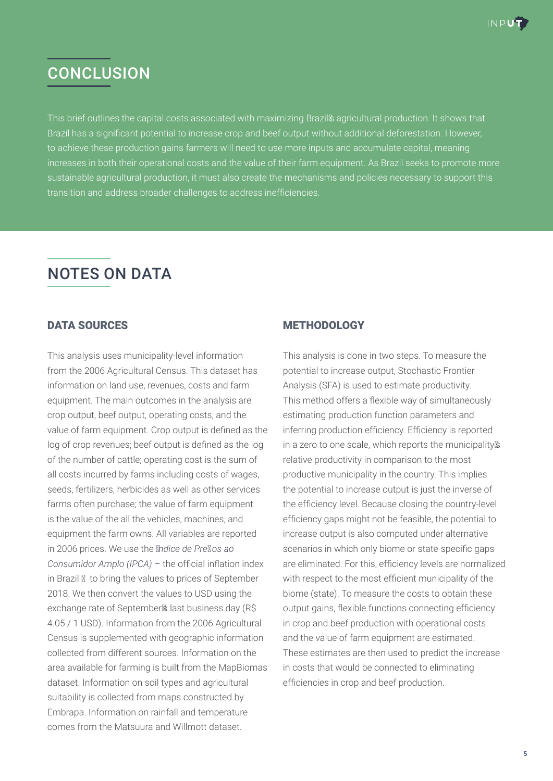

## **CONCLUSION**

This brief outlines the capital costs associated with maximizing Brazil's agricultural production. It shows that Brazil has a significant potential to increase crop and beef output without additional deforestation. However, to achieve these production gains farmers will need to use more inputs and accumulate capital, meaning increases in both their operational costs and the value of their farm equipment. As Brazil seeks to promote more sustainable agricultural production, it must also create the mechanisms and policies necessary to support this transition and address broader challenges to address inefficiencies.

# NOTES ON DATA

## DATA SOURCES

This analysis uses municipality-level information from the 2006 Agricultural Census. This dataset has information on land use, revenues, costs and farm equipment. The main outcomes in the analysis are crop output, beef output, operating costs, and the value of farm equipment. Crop output is defined as the log of crop revenues; beef output is defined as the log of the number of cattle; operating cost is the sum of all costs incurred by farms including costs of wages, seeds, fertilizers, herbicides as well as other services farms often purchase; the value of farm equipment is the value of the all the vehicles, machines, and equipment the farm owns. All variables are reported in 2006 prices. We use the *Índice de Preços ao Consumidor Amplo (IPCA)* – the official inflation index in Brazil – to bring the values to prices of September 2018. We then convert the values to USD using the exchange rate of September's last business day (R\$ 4.05 / 1 USD). Information from the 2006 Agricultural Census is supplemented with geographic information collected from different sources. Information on the area available for farming is built from the MapBiomas dataset. Information on soil types and agricultural suitability is collected from maps constructed by Embrapa. Information on rainfall and temperature comes from the Matsuura and Willmott dataset.

## METHODOLOGY

This analysis is done in two steps. To measure the potential to increase output, Stochastic Frontier Analysis (SFA) is used to estimate productivity. This method offers a flexible way of simultaneously estimating production function parameters and inferring production efficiency. Efficiency is reported in a zero to one scale, which reports the municipality's relative productivity in comparison to the most productive municipality in the country. This implies the potential to increase output is just the inverse of the efficiency level. Because closing the country-level efficiency gaps might not be feasible, the potential to increase output is also computed under alternative scenarios in which only biome or state-specific gaps are eliminated. For this, efficiency levels are normalized with respect to the most efficient municipality of the biome (state). To measure the costs to obtain these output gains, flexible functions connecting efficiency in crop and beef production with operational costs and the value of farm equipment are estimated. These estimates are then used to predict the increase in costs that would be connected to eliminating efficiencies in crop and beef production.